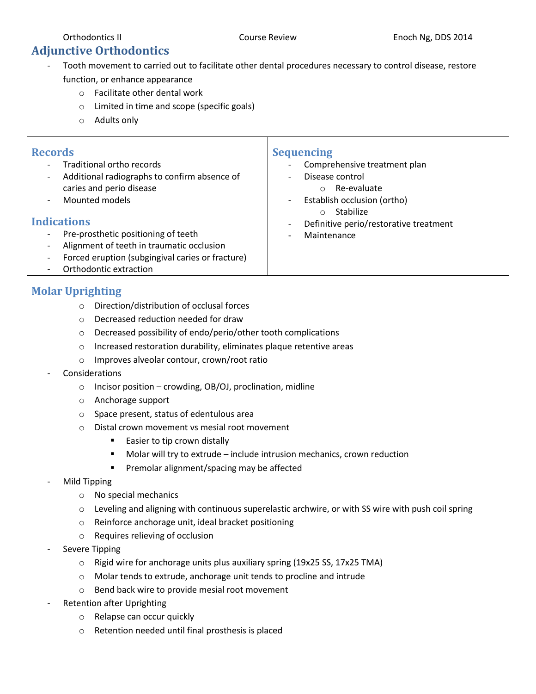# **Adjunctive Orthodontics**

- Tooth movement to carried out to facilitate other dental procedures necessary to control disease, restore function, or enhance appearance
	- o Facilitate other dental work
	- o Limited in time and scope (specific goals)
	- o Adults only

| <b>Records</b><br>Traditional ortho records<br>Additional radiographs to confirm absence of<br>caries and perio disease<br>Mounted models<br><b>Indications</b><br>Pre-prosthetic positioning of teeth<br>Alignment of teeth in traumatic occlusion<br>Forced eruption (subgingival caries or fracture) | <b>Sequencing</b><br>Comprehensive treatment plan<br>Disease control<br>$\overline{\phantom{a}}$<br>Re-evaluate<br>$\circ$<br>Establish occlusion (ortho)<br>$\qquad \qquad \blacksquare$<br>Stabilize<br>$\circ$<br>Definitive perio/restorative treatment<br>$\overline{\phantom{a}}$<br>Maintenance<br>$\overline{\phantom{a}}$ |
|---------------------------------------------------------------------------------------------------------------------------------------------------------------------------------------------------------------------------------------------------------------------------------------------------------|------------------------------------------------------------------------------------------------------------------------------------------------------------------------------------------------------------------------------------------------------------------------------------------------------------------------------------|
| Orthodontic extraction                                                                                                                                                                                                                                                                                  |                                                                                                                                                                                                                                                                                                                                    |

### **Molar Uprighting**

- o Direction/distribution of occlusal forces
- o Decreased reduction needed for draw
- o Decreased possibility of endo/perio/other tooth complications
- o Increased restoration durability, eliminates plaque retentive areas
- o Improves alveolar contour, crown/root ratio

#### **Considerations**

- $\circ$  Incisor position crowding, OB/OJ, proclination, midline
- o Anchorage support
- o Space present, status of edentulous area
- o Distal crown movement vs mesial root movement
	- Easier to tip crown distally
	- Molar will try to extrude include intrusion mechanics, crown reduction
	- **Premolar alignment/spacing may be affected**
- Mild Tipping
	- o No special mechanics
	- $\circ$  Leveling and aligning with continuous superelastic archwire, or with SS wire with push coil spring
	- o Reinforce anchorage unit, ideal bracket positioning
	- o Requires relieving of occlusion
- Severe Tipping
	- o Rigid wire for anchorage units plus auxiliary spring (19x25 SS, 17x25 TMA)
	- o Molar tends to extrude, anchorage unit tends to procline and intrude
	- o Bend back wire to provide mesial root movement
- Retention after Uprighting
	- o Relapse can occur quickly
	- o Retention needed until final prosthesis is placed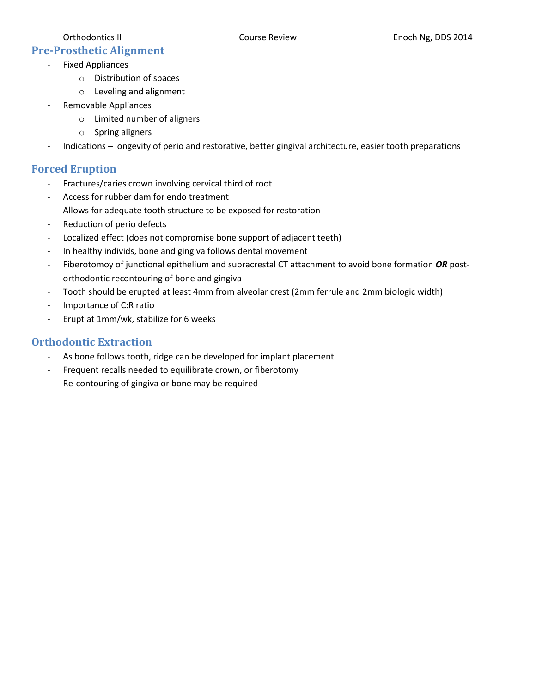### **Pre-Prosthetic Alignment**

- Fixed Appliances
	- o Distribution of spaces
	- o Leveling and alignment
- Removable Appliances
	- o Limited number of aligners
	- o Spring aligners
- Indications longevity of perio and restorative, better gingival architecture, easier tooth preparations

### **Forced Eruption**

- Fractures/caries crown involving cervical third of root
- Access for rubber dam for endo treatment
- Allows for adequate tooth structure to be exposed for restoration
- Reduction of perio defects
- Localized effect (does not compromise bone support of adjacent teeth)
- In healthy individs, bone and gingiva follows dental movement
- Fiberotomoy of junctional epithelium and supracrestal CT attachment to avoid bone formation *OR* postorthodontic recontouring of bone and gingiva
- Tooth should be erupted at least 4mm from alveolar crest (2mm ferrule and 2mm biologic width)
- Importance of C:R ratio
- Erupt at 1mm/wk, stabilize for 6 weeks

#### **Orthodontic Extraction**

- As bone follows tooth, ridge can be developed for implant placement
- Frequent recalls needed to equilibrate crown, or fiberotomy
- Re-contouring of gingiva or bone may be required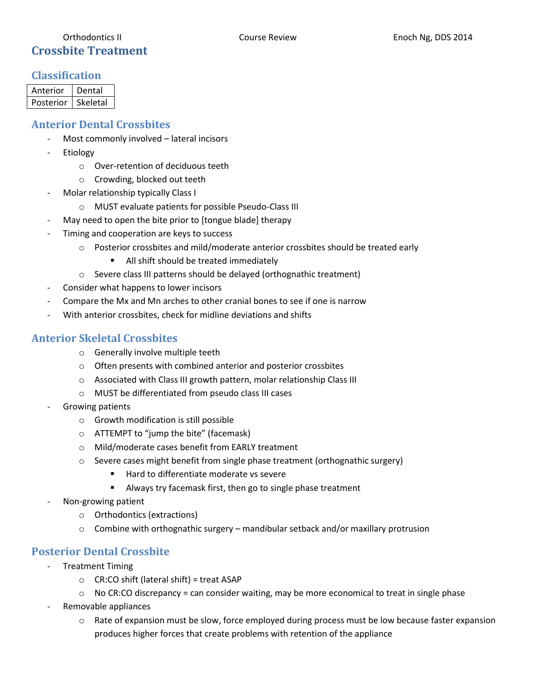### Orthodontics II **Course Review Enoch Ng, DDS 2014** Course Review Enoch Ng, DDS 2014 **Crossbite Treatment**

#### **Classification**

| Anterior  | Dental   |
|-----------|----------|
| Posterior | Skeletal |

# **Anterior Dental Crossbites**

- Most commonly involved lateral incisors
- **Etiology** 
	- o Over-retention of deciduous teeth
	- o Crowding, blocked out teeth
- Molar relationship typically Class I
	- o MUST evaluate patients for possible Pseudo-Class III
- May need to open the bite prior to [tongue blade] therapy
- Timing and cooperation are keys to success
	- $\circ$  Posterior crossbites and mild/moderate anterior crossbites should be treated early
		- **All shift should be treated immediately**
	- o Severe class III patterns should be delayed (orthognathic treatment)
- Consider what happens to lower incisors
- Compare the Mx and Mn arches to other cranial bones to see if one is narrow
- With anterior crossbites, check for midline deviations and shifts

# **Anterior Skeletal Crossbites**

- o Generally involve multiple teeth
- o Often presents with combined anterior and posterior crossbites
- o Associated with Class III growth pattern, molar relationship Class III
- o MUST be differentiated from pseudo class III cases
- Growing patients
	- o Growth modification is still possible
	- o ATTEMPT to "jump the bite" (facemask)
	- o Mild/moderate cases benefit from EARLY treatment
	- o Severe cases might benefit from single phase treatment (orthognathic surgery)
		- Hard to differentiate moderate vs severe
		- Always try facemask first, then go to single phase treatment
- Non-growing patient
	- o Orthodontics (extractions)
	- $\circ$  Combine with orthognathic surgery mandibular setback and/or maxillary protrusion

# **Posterior Dental Crossbite**

- **Treatment Timing** 
	- $\circ$  CR:CO shift (lateral shift) = treat ASAP
	- $\circ$  No CR:CO discrepancy = can consider waiting, may be more economical to treat in single phase
- Removable appliances
	- $\circ$  Rate of expansion must be slow, force employed during process must be low because faster expansion produces higher forces that create problems with retention of the appliance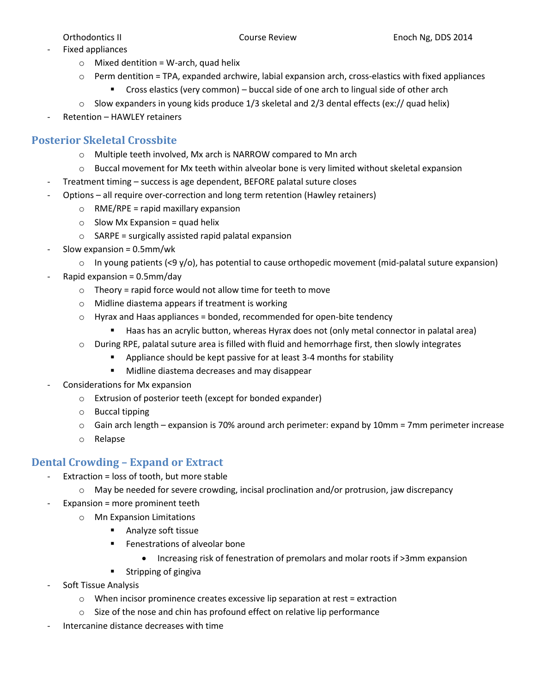- Fixed appliances
	- $\circ$  Mixed dentition = W-arch, quad helix
	- $\circ$  Perm dentition = TPA, expanded archwire, labial expansion arch, cross-elastics with fixed appliances
		- Cross elastics (very common) buccal side of one arch to lingual side of other arch
	- $\circ$  Slow expanders in young kids produce 1/3 skeletal and 2/3 dental effects (ex:// quad helix)
- Retention HAWLEY retainers

#### **Posterior Skeletal Crossbite**

- o Multiple teeth involved, Mx arch is NARROW compared to Mn arch
- $\circ$  Buccal movement for Mx teeth within alveolar bone is very limited without skeletal expansion
- Treatment timing success is age dependent, BEFORE palatal suture closes
- Options all require over-correction and long term retention (Hawley retainers)
	- $\circ$  RME/RPE = rapid maxillary expansion
	- $\circ$  Slow Mx Expansion = quad helix
	- $\circ$  SARPE = surgically assisted rapid palatal expansion
- Slow expansion =  $0.5$ mm/wk
	- $\circ$  In young patients (<9 y/o), has potential to cause orthopedic movement (mid-palatal suture expansion)
- Rapid expansion =  $0.5$ mm/day
	- $\circ$  Theory = rapid force would not allow time for teeth to move
	- o Midline diastema appears if treatment is working
	- $\circ$  Hyrax and Haas appliances = bonded, recommended for open-bite tendency
		- Haas has an acrylic button, whereas Hyrax does not (only metal connector in palatal area)
	- $\circ$  During RPE, palatal suture area is filled with fluid and hemorrhage first, then slowly integrates
		- Appliance should be kept passive for at least 3-4 months for stability
		- **Midline diastema decreases and may disappear**
- Considerations for Mx expansion
	- o Extrusion of posterior teeth (except for bonded expander)
	- o Buccal tipping
	- $\circ$  Gain arch length expansion is 70% around arch perimeter: expand by 10mm = 7mm perimeter increase
	- o Relapse

#### **Dental Crowding – Expand or Extract**

- Extraction = loss of tooth, but more stable
	- o May be needed for severe crowding, incisal proclination and/or protrusion, jaw discrepancy
	- Expansion = more prominent teeth
		- o Mn Expansion Limitations
			- **Analyze soft tissue**
			- **Fenestrations of alveolar bone** 
				- Increasing risk of fenestration of premolars and molar roots if >3mm expansion
			- **EXPLEM** Stripping of gingiva
- Soft Tissue Analysis
	- $\circ$  When incisor prominence creates excessive lip separation at rest = extraction
	- o Size of the nose and chin has profound effect on relative lip performance
- Intercanine distance decreases with time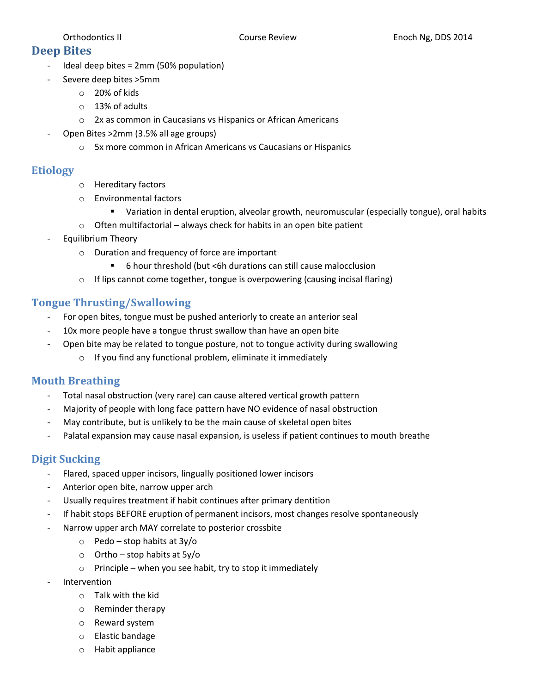### **Deep Bites**

- Ideal deep bites = 2mm (50% population)
- Severe deep bites >5mm
	- o 20% of kids
	- o 13% of adults
	- o 2x as common in Caucasians vs Hispanics or African Americans
- Open Bites >2mm (3.5% all age groups)
	- o 5x more common in African Americans vs Caucasians or Hispanics

# **Etiology**

- o Hereditary factors
- o Environmental factors
	- Variation in dental eruption, alveolar growth, neuromuscular (especially tongue), oral habits
- $\circ$  Often multifactorial always check for habits in an open bite patient
- Equilibrium Theory
	- o Duration and frequency of force are important
		- 6 hour threshold (but <6h durations can still cause malocclusion
	- o If lips cannot come together, tongue is overpowering (causing incisal flaring)

# **Tongue Thrusting/Swallowing**

- For open bites, tongue must be pushed anteriorly to create an anterior seal
- 10x more people have a tongue thrust swallow than have an open bite
- Open bite may be related to tongue posture, not to tongue activity during swallowing
	- o If you find any functional problem, eliminate it immediately

# **Mouth Breathing**

- Total nasal obstruction (very rare) can cause altered vertical growth pattern
- Majority of people with long face pattern have NO evidence of nasal obstruction
- May contribute, but is unlikely to be the main cause of skeletal open bites
- Palatal expansion may cause nasal expansion, is useless if patient continues to mouth breathe

# **Digit Sucking**

- Flared, spaced upper incisors, lingually positioned lower incisors
- Anterior open bite, narrow upper arch
- Usually requires treatment if habit continues after primary dentition
- If habit stops BEFORE eruption of permanent incisors, most changes resolve spontaneously
- Narrow upper arch MAY correlate to posterior crossbite
	- $\circ$  Pedo stop habits at 3y/o
	- $\circ$  Ortho stop habits at 5y/o
	- $\circ$  Principle when you see habit, try to stop it immediately
- **Intervention** 
	- o Talk with the kid
	- o Reminder therapy
	- o Reward system
	- o Elastic bandage
	- o Habit appliance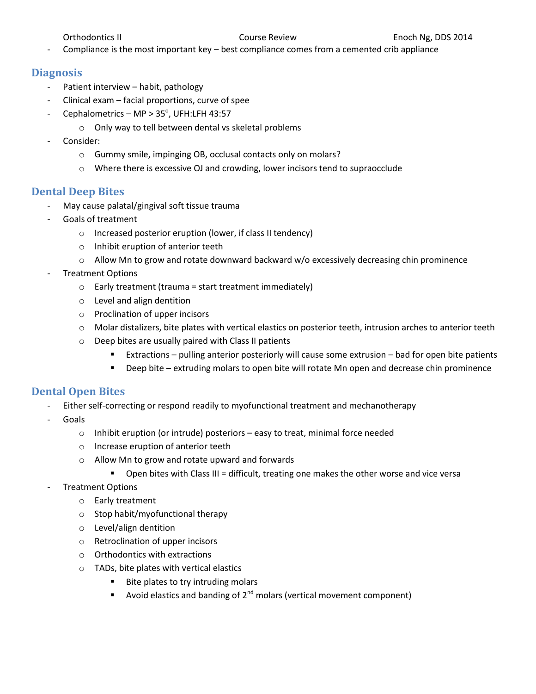Compliance is the most important key – best compliance comes from a cemented crib appliance

#### **Diagnosis**

- Patient interview habit, pathology
- Clinical exam facial proportions, curve of spee
- Cephalometrics MP >  $35^{\circ}$ , UFH:LFH 43:57
	- o Only way to tell between dental vs skeletal problems
- Consider:
	- o Gummy smile, impinging OB, occlusal contacts only on molars?
	- o Where there is excessive OJ and crowding, lower incisors tend to supraocclude

#### **Dental Deep Bites**

- May cause palatal/gingival soft tissue trauma
- Goals of treatment
	- o Increased posterior eruption (lower, if class II tendency)
	- o Inhibit eruption of anterior teeth
	- o Allow Mn to grow and rotate downward backward w/o excessively decreasing chin prominence
- Treatment Options
	- $\circ$  Early treatment (trauma = start treatment immediately)
	- o Level and align dentition
	- o Proclination of upper incisors
	- o Molar distalizers, bite plates with vertical elastics on posterior teeth, intrusion arches to anterior teeth
	- o Deep bites are usually paired with Class II patients
		- Extractions pulling anterior posteriorly will cause some extrusion bad for open bite patients
		- Deep bite extruding molars to open bite will rotate Mn open and decrease chin prominence

#### **Dental Open Bites**

- Either self-correcting or respond readily to myofunctional treatment and mechanotherapy
- **Goals** 
	- o Inhibit eruption (or intrude) posteriors easy to treat, minimal force needed
	- o Increase eruption of anterior teeth
	- o Allow Mn to grow and rotate upward and forwards
		- Open bites with Class III = difficult, treating one makes the other worse and vice versa
- Treatment Options
	- o Early treatment
	- o Stop habit/myofunctional therapy
	- o Level/align dentition
	- o Retroclination of upper incisors
	- o Orthodontics with extractions
	- o TADs, bite plates with vertical elastics
		- **Bite plates to try intruding molars**
		- Avoid elastics and banding of  $2^{nd}$  molars (vertical movement component)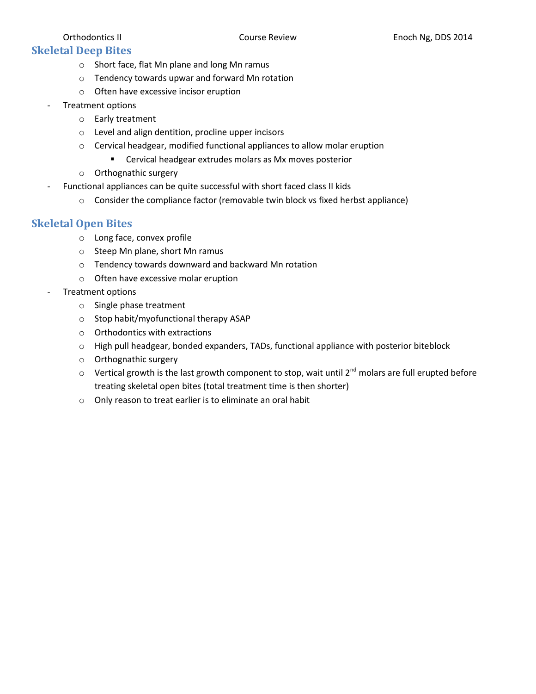#### **Skeletal Deep Bites**

- o Short face, flat Mn plane and long Mn ramus
- o Tendency towards upwar and forward Mn rotation
- o Often have excessive incisor eruption
- Treatment options
	- o Early treatment
	- o Level and align dentition, procline upper incisors
	- o Cervical headgear, modified functional appliances to allow molar eruption
		- **EXEC** Cervical headgear extrudes molars as Mx moves posterior
	- o Orthognathic surgery
- Functional appliances can be quite successful with short faced class II kids
	- $\circ$  Consider the compliance factor (removable twin block vs fixed herbst appliance)

#### **Skeletal Open Bites**

- o Long face, convex profile
- o Steep Mn plane, short Mn ramus
- o Tendency towards downward and backward Mn rotation
- o Often have excessive molar eruption
- Treatment options
	- o Single phase treatment
	- o Stop habit/myofunctional therapy ASAP
	- o Orthodontics with extractions
	- o High pull headgear, bonded expanders, TADs, functional appliance with posterior biteblock
	- o Orthognathic surgery
	- $\circ$  Vertical growth is the last growth component to stop, wait until 2<sup>nd</sup> molars are full erupted before treating skeletal open bites (total treatment time is then shorter)
	- o Only reason to treat earlier is to eliminate an oral habit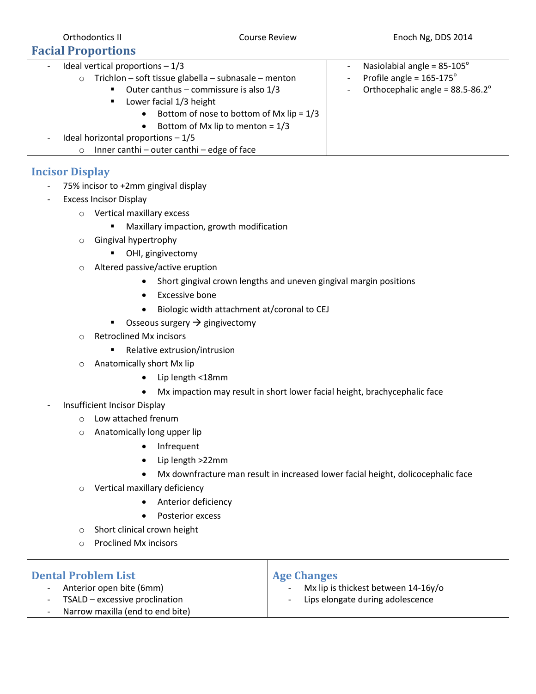| Ideal vertical proportions $-1/3$<br>-<br>Trichlon - soft tissue glabella - subnasale - menton<br>$\circ$<br>■ Outer canthus – commissure is also $1/3$<br>Lower facial 1/3 height<br>$\blacksquare$<br>Bottom of nose to bottom of Mx $lip = 1/3$<br>$\bullet$<br>Bottom of Mx lip to menton = $1/3$<br>$\bullet$<br>Ideal horizontal proportions $-1/5$<br>$\overline{\phantom{a}}$<br>Inner canthi - outer canthi - edge of face<br>$\circ$ | Nasiolabial angle = $85-105^\circ$<br>Profile angle = $165-175^\circ$<br>$\overline{\phantom{0}}$<br>Orthocephalic angle = $88.5 - 86.2^{\circ}$<br>$\overline{\phantom{0}}$ |
|------------------------------------------------------------------------------------------------------------------------------------------------------------------------------------------------------------------------------------------------------------------------------------------------------------------------------------------------------------------------------------------------------------------------------------------------|------------------------------------------------------------------------------------------------------------------------------------------------------------------------------|

### **Incisor Display**

- 75% incisor to +2mm gingival display
- Excess Incisor Display
	- o Vertical maxillary excess
		- **■** Maxillary impaction, growth modification
	- o Gingival hypertrophy
		- **-** OHI, gingivectomy
	- o Altered passive/active eruption
		- Short gingival crown lengths and uneven gingival margin positions
		- Excessive bone
		- Biologic width attachment at/coronal to CEJ
		- Osseous surgery  $\rightarrow$  gingivectomy
	- o Retroclined Mx incisors
		- Relative extrusion/intrusion
	- o Anatomically short Mx lip
		- Lip length <18mm
		- Mx impaction may result in short lower facial height, brachycephalic face
- Insufficient Incisor Display
	- o Low attached frenum
	- o Anatomically long upper lip
		- Infrequent
		- Lip length >22mm
		- Mx downfracture man result in increased lower facial height, dolicocephalic face
	- o Vertical maxillary deficiency
		- **•** Anterior deficiency
		- Posterior excess
	- o Short clinical crown height
	- o Proclined Mx incisors

| <b>Dental Problem List</b>       | <b>Age Changes</b>                                              |
|----------------------------------|-----------------------------------------------------------------|
| Anterior open bite (6mm)         | Mx lip is thickest between 14-16y/o<br>$\overline{\phantom{a}}$ |
| TSALD – excessive proclination   | Lips elongate during adolescence<br>$\overline{\phantom{a}}$    |
| Narrow maxilla (end to end bite) |                                                                 |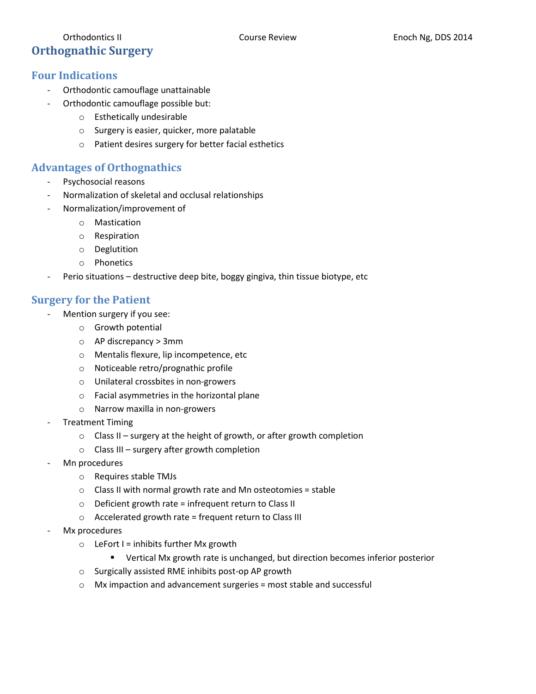# Orthodontics II **Course Review Enoch Ng, DDS 2014** Course Review Enoch Ng, DDS 2014 **Orthognathic Surgery**

# **Four Indications**

- Orthodontic camouflage unattainable
- Orthodontic camouflage possible but:
	- o Esthetically undesirable
	- o Surgery is easier, quicker, more palatable
	- o Patient desires surgery for better facial esthetics

# **Advantages of Orthognathics**

- Psychosocial reasons
- Normalization of skeletal and occlusal relationships
- Normalization/improvement of
	- o Mastication
	- o Respiration
	- o Deglutition
	- o Phonetics
- Perio situations destructive deep bite, boggy gingiva, thin tissue biotype, etc

# **Surgery for the Patient**

- Mention surgery if you see:
	- o Growth potential
	- o AP discrepancy > 3mm
	- o Mentalis flexure, lip incompetence, etc
	- o Noticeable retro/prognathic profile
	- o Unilateral crossbites in non-growers
	- o Facial asymmetries in the horizontal plane
	- o Narrow maxilla in non-growers
- Treatment Timing
	- o Class II surgery at the height of growth, or after growth completion
	- o Class III surgery after growth completion
- Mn procedures
	- o Requires stable TMJs
	- o Class II with normal growth rate and Mn osteotomies = stable
	- o Deficient growth rate = infrequent return to Class II
	- o Accelerated growth rate = frequent return to Class III
- Mx procedures
	- $\circ$  LeFort I = inhibits further Mx growth
		- **•** Vertical Mx growth rate is unchanged, but direction becomes inferior posterior
	- o Surgically assisted RME inhibits post-op AP growth
	- o Mx impaction and advancement surgeries = most stable and successful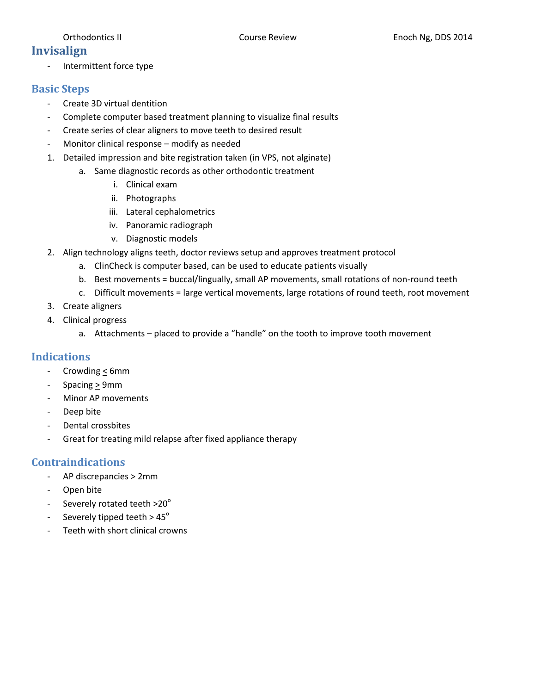# **Invisalign**

- Intermittent force type

#### **Basic Steps**

- Create 3D virtual dentition
- Complete computer based treatment planning to visualize final results
- Create series of clear aligners to move teeth to desired result
- Monitor clinical response modify as needed
- 1. Detailed impression and bite registration taken (in VPS, not alginate)
	- a. Same diagnostic records as other orthodontic treatment
		- i. Clinical exam
		- ii. Photographs
		- iii. Lateral cephalometrics
		- iv. Panoramic radiograph
		- v. Diagnostic models
- 2. Align technology aligns teeth, doctor reviews setup and approves treatment protocol
	- a. ClinCheck is computer based, can be used to educate patients visually
	- b. Best movements = buccal/lingually, small AP movements, small rotations of non-round teeth
	- c. Difficult movements = large vertical movements, large rotations of round teeth, root movement
- 3. Create aligners
- 4. Clinical progress
	- a. Attachments placed to provide a "handle" on the tooth to improve tooth movement

### **Indications**

- Crowding  $\leq$  6mm
- Spacing > 9mm
- Minor AP movements
- Deep bite
- Dental crossbites
- Great for treating mild relapse after fixed appliance therapy

#### **Contraindications**

- AP discrepancies > 2mm
- Open bite
- Severely rotated teeth  $>20^\circ$
- Severely tipped teeth  $> 45^\circ$
- Teeth with short clinical crowns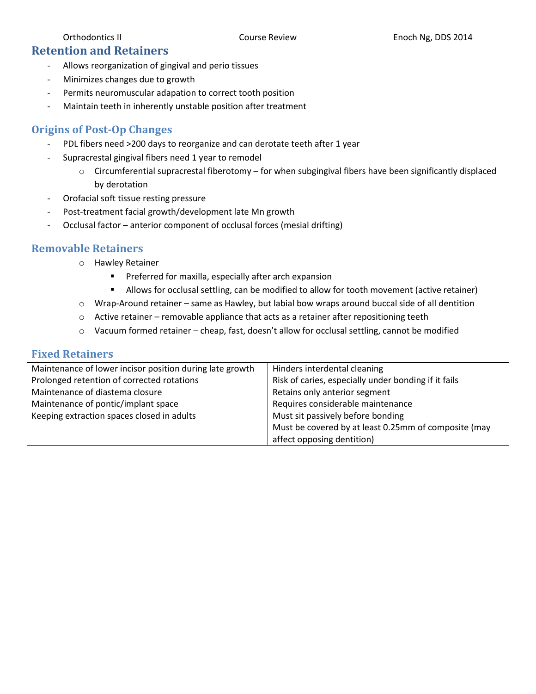### **Retention and Retainers**

- Allows reorganization of gingival and perio tissues
- Minimizes changes due to growth
- Permits neuromuscular adapation to correct tooth position
- Maintain teeth in inherently unstable position after treatment

#### **Origins of Post-Op Changes**

- PDL fibers need >200 days to reorganize and can derotate teeth after 1 year
- Supracrestal gingival fibers need 1 year to remodel
	- $\circ$  Circumferential supracrestal fiberotomy for when subgingival fibers have been significantly displaced by derotation
- Orofacial soft tissue resting pressure
- Post-treatment facial growth/development late Mn growth
- Occlusal factor anterior component of occlusal forces (mesial drifting)

#### **Removable Retainers**

- o Hawley Retainer
	- **Preferred for maxilla, especially after arch expansion**
	- Allows for occlusal settling, can be modified to allow for tooth movement (active retainer)
- o Wrap-Around retainer same as Hawley, but labial bow wraps around buccal side of all dentition
- $\circ$  Active retainer removable appliance that acts as a retainer after repositioning teeth
- $\circ$  Vacuum formed retainer cheap, fast, doesn't allow for occlusal settling, cannot be modified

#### **Fixed Retainers**

| Maintenance of lower incisor position during late growth | Hinders interdental cleaning                         |
|----------------------------------------------------------|------------------------------------------------------|
| Prolonged retention of corrected rotations               | Risk of caries, especially under bonding if it fails |
| Maintenance of diastema closure                          | Retains only anterior segment                        |
| Maintenance of pontic/implant space                      | Requires considerable maintenance                    |
| Keeping extraction spaces closed in adults               | Must sit passively before bonding                    |
|                                                          | Must be covered by at least 0.25mm of composite (may |
|                                                          | affect opposing dentition)                           |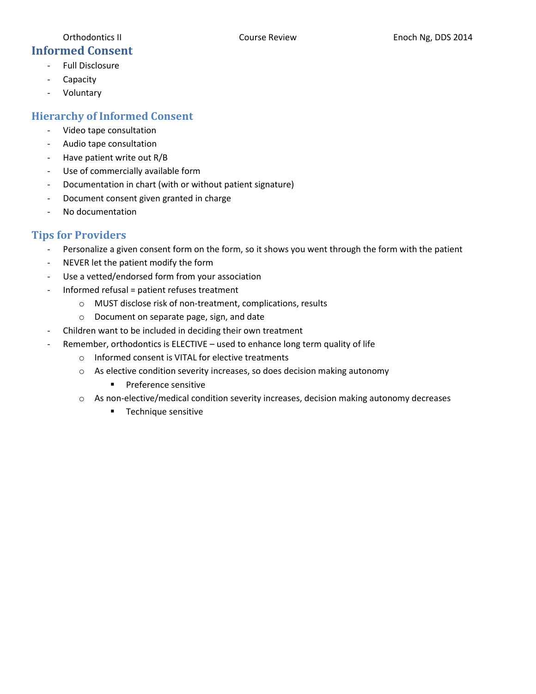- **Informed Consent** - Full Disclosure
	- Capacity
	- Voluntary

# **Hierarchy of Informed Consent**

- Video tape consultation
- Audio tape consultation
- Have patient write out R/B
- Use of commercially available form
- Documentation in chart (with or without patient signature)
- Document consent given granted in charge
- No documentation

# **Tips for Providers**

- Personalize a given consent form on the form, so it shows you went through the form with the patient
- NEVER let the patient modify the form
- Use a vetted/endorsed form from your association
- Informed refusal = patient refuses treatment
	- o MUST disclose risk of non-treatment, complications, results
	- o Document on separate page, sign, and date
- Children want to be included in deciding their own treatment
- Remember, orthodontics is ELECTIVE used to enhance long term quality of life
	- o Informed consent is VITAL for elective treatments
	- o As elective condition severity increases, so does decision making autonomy
		- **Preference sensitive**
	- o As non-elective/medical condition severity increases, decision making autonomy decreases
		- **Technique sensitive**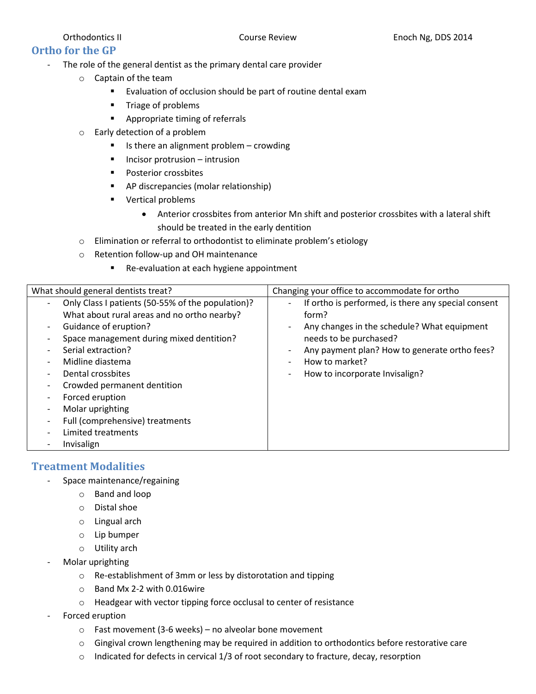# **Ortho for the GP**

- The role of the general dentist as the primary dental care provider
	- o Captain of the team
		- **Evaluation of occlusion should be part of routine dental exam**
		- **Triage of problems**
		- **Appropriate timing of referrals**
	- o Early detection of a problem
		- $\blacksquare$  Is there an alignment problem crowding
		- $\blacksquare$  Incisor protrusion intrusion
		- **Posterior crossbites**
		- AP discrepancies (molar relationship)
		- **vertical problems** 
			- Anterior crossbites from anterior Mn shift and posterior crossbites with a lateral shift should be treated in the early dentition
	- o Elimination or referral to orthodontist to eliminate problem's etiology
	- o Retention follow‐up and OH maintenance
		- Re-evaluation at each hygiene appointment

| What should general dentists treat?                                                                                                                                                                                                                                                                                                                                                                                                                                                                                                                       | Changing your office to accommodate for ortho                                                                                                                                                                                                                          |
|-----------------------------------------------------------------------------------------------------------------------------------------------------------------------------------------------------------------------------------------------------------------------------------------------------------------------------------------------------------------------------------------------------------------------------------------------------------------------------------------------------------------------------------------------------------|------------------------------------------------------------------------------------------------------------------------------------------------------------------------------------------------------------------------------------------------------------------------|
| Only Class I patients (50-55% of the population)?<br>$\overline{\phantom{a}}$<br>What about rural areas and no ortho nearby?<br>Guidance of eruption?<br>$\overline{\phantom{0}}$<br>Space management during mixed dentition?<br>Serial extraction?<br>$\overline{\phantom{0}}$<br>Midline diastema<br>$\overline{\phantom{0}}$<br>Dental crossbites<br>Crowded permanent dentition<br>$\overline{\phantom{a}}$<br>Forced eruption<br>Molar uprighting<br>$\overline{\phantom{a}}$<br>Full (comprehensive) treatments<br>Limited treatments<br>Invisalign | If ortho is performed, is there any special consent<br>$\overline{\phantom{a}}$<br>form?<br>Any changes in the schedule? What equipment<br>needs to be purchased?<br>Any payment plan? How to generate ortho fees?<br>How to market?<br>How to incorporate Invisalign? |

### **Treatment Modalities**

- Space maintenance/regaining
	- o Band and loop
	- o Distal shoe
	- o Lingual arch
	- o Lip bumper
	- o Utility arch
- Molar uprighting
	- o Re-establishment of 3mm or less by distorotation and tipping
	- o Band Mx 2-2 with 0.016wire
	- o Headgear with vector tipping force occlusal to center of resistance
- Forced eruption
	- $\circ$  Fast movement (3-6 weeks) no alveolar bone movement
	- $\circ$  Gingival crown lengthening may be required in addition to orthodontics before restorative care
	- $\circ$  Indicated for defects in cervical 1/3 of root secondary to fracture, decay, resorption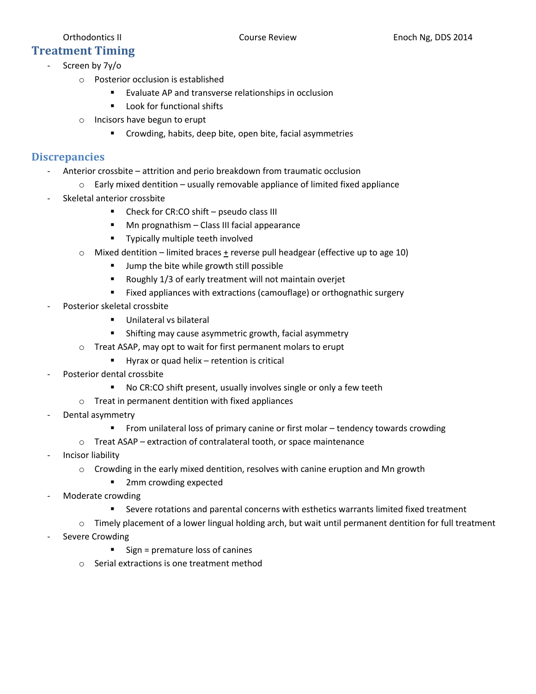# **Treatment Timing**

- Screen by 7y/o
	- o Posterior occlusion is established
		- **EValuate AP and transverse relationships in occlusion**
		- **Look for functional shifts**
	- o Incisors have begun to erupt
		- **EXP** Crowding, habits, deep bite, open bite, facial asymmetries

### **Discrepancies**

- Anterior crossbite attrition and perio breakdown from traumatic occlusion
	- $\circ$  Early mixed dentition usually removable appliance of limited fixed appliance
- Skeletal anterior crossbite
	- **-** Check for CR:CO shift pseudo class III
	- **Mn prognathism Class III facial appearance**
	- **Typically multiple teeth involved**
	- $\circ$  Mixed dentition limited braces  $\pm$  reverse pull headgear (effective up to age 10)
		- **Jump the bite while growth still possible**
		- Roughly 1/3 of early treatment will not maintain overjet
		- **Fixed appliances with extractions (camouflage) or orthognathic surgery**
- Posterior skeletal crossbite
	- **Unilateral vs bilateral**
	- **Shifting may cause asymmetric growth, facial asymmetry**
	- o Treat ASAP, may opt to wait for first permanent molars to erupt
		- Hyrax or quad helix retention is critical
- Posterior dental crossbite
	- No CR:CO shift present, usually involves single or only a few teeth
	- o Treat in permanent dentition with fixed appliances
- Dental asymmetry
	- From unilateral loss of primary canine or first molar tendency towards crowding
	- o Treat ASAP extraction of contralateral tooth, or space maintenance
- Incisor liability
	- $\circ$  Crowding in the early mixed dentition, resolves with canine eruption and Mn growth
		- 2mm crowding expected
- Moderate crowding
	- Severe rotations and parental concerns with esthetics warrants limited fixed treatment
	- $\circ$  Timely placement of a lower lingual holding arch, but wait until permanent dentition for full treatment
- Severe Crowding
	- $\blacksquare$  Sign = premature loss of canines
	- o Serial extractions is one treatment method